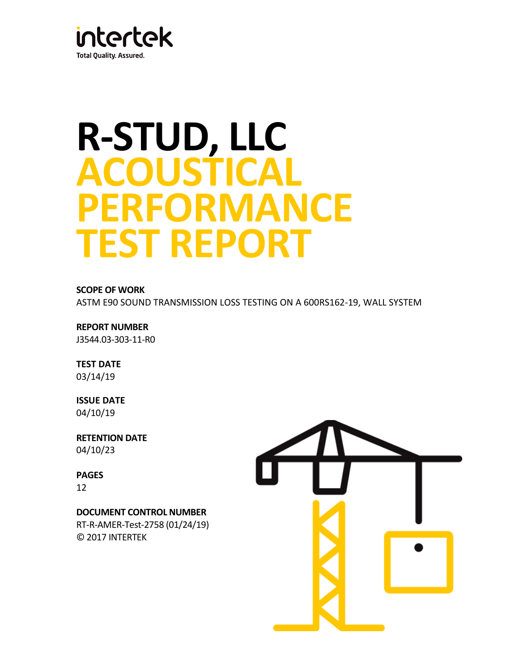

# **R-STUD, LLC ACOUSTICAL PERFORMANCE TEST REPORT**

**SCOPE OF WORK**

ASTM E90 SOUND TRANSMISSION LOSS TESTING ON A 600RS162-19, WALL SYSTEM

**REPORT NUMBER** J3544.03-303-11-R0

**TEST DATE** 03/14/19

**ISSUE DATE** 04/10/19

**RETENTION DATE** 04/10/23

**PAGES**

12

**DOCUMENT CONTROL NUMBER** RT-R-AMER-Test-2758 (01/24/19) © 2017 INTERTEK

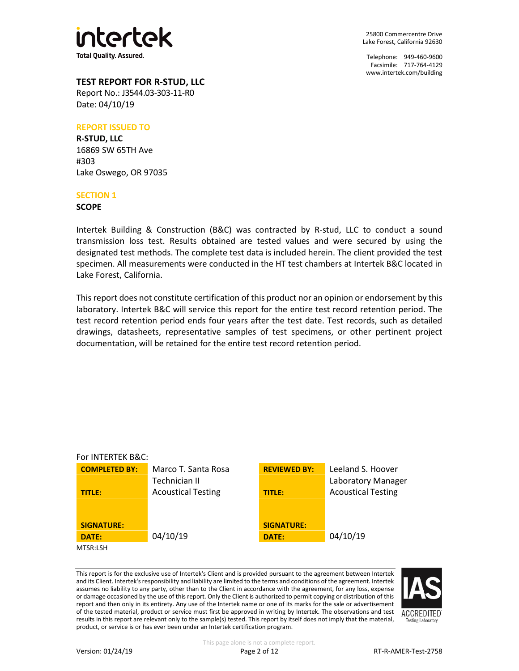

Telephone: 949-460-9600 Facsimile: 717-764-4129 [www.intertek.com/building](http://www.intertek.com/building)

## **TEST REPORT FOR R-STUD, LLC**

Report No.: J3544.03-303-11-R0 Date: 04/10/19

#### **REPORT ISSUED TO**

**R-STUD, LLC** 16869 SW 65TH Ave #303 Lake Oswego, OR 97035

#### **SECTION 1**

**SCOPE**

Intertek Building & Construction (B&C) was contracted by R-stud, LLC to conduct a sound transmission loss test. Results obtained are tested values and were secured by using the designated test methods. The complete test data is included herein. The client provided the test specimen. All measurements were conducted in the HT test chambers at Intertek B&C located in Lake Forest, California.

This report does not constitute certification of this product nor an opinion or endorsement by this laboratory. Intertek B&C will service this report for the entire test record retention period. The test record retention period ends four years after the test date. Test records, such as detailed drawings, datasheets, representative samples of test specimens, or other pertinent project documentation, will be retained for the entire test record retention period.



This report is for the exclusive use of Intertek's Client and is provided pursuant to the agreement between Intertek and its Client. Intertek's responsibility and liability are limited to the terms and conditions of the agreement. Intertek assumes no liability to any party, other than to the Client in accordance with the agreement, for any loss, expense or damage occasioned by the use of this report. Only the Client is authorized to permit copying or distribution of this report and then only in its entirety. Any use of the Intertek name or one of its marks for the sale or advertisement of the tested material, product or service must first be approved in writing by Intertek. The observations and test results in this report are relevant only to the sample(s) tested. This report by itself does not imply that the material, product, or service is or has ever been under an Intertek certification program.

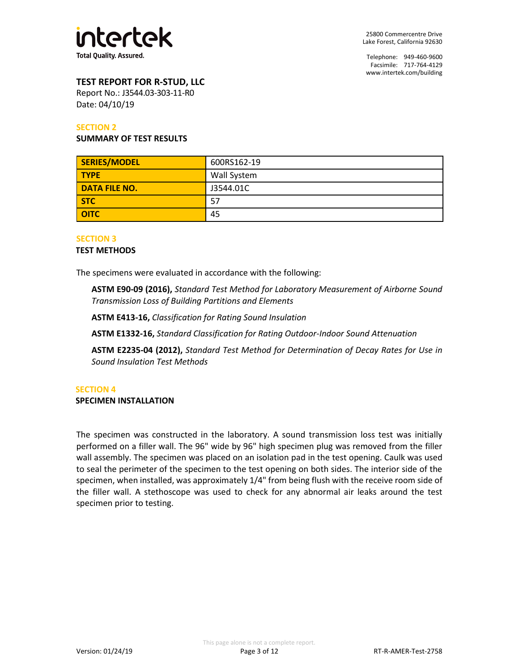

## **TEST REPORT FOR R-STUD, LLC**

Report No.: J3544.03-303-11-R0 Date: 04/10/19

#### **SECTION 2**

#### **SUMMARY OF TEST RESULTS**

| SERIES/MODEL         | 600RS162-19 |  |
|----------------------|-------------|--|
| <b>TYPE</b>          | Wall System |  |
| <b>DATA FILE NO.</b> | J3544.01C   |  |
| <b>STC</b>           | 57          |  |
| <b>OITC</b>          | 45          |  |

#### **SECTION 3**

#### **TEST METHODS**

The specimens were evaluated in accordance with the following:

**ASTM E90-09 (2016),** *Standard Test Method for Laboratory Measurement of Airborne Sound Transmission Loss of Building Partitions and Elements*

**ASTM E413-16,** *Classification for Rating Sound Insulation*

**ASTM E1332-16,** *Standard Classification for Rating Outdoor-Indoor Sound Attenuation*

**ASTM E2235-04 (2012),** *Standard Test Method for Determination of Decay Rates for Use in Sound Insulation Test Methods*

#### **SECTION 4**

**SPECIMEN INSTALLATION**

The specimen was constructed in the laboratory. A sound transmission loss test was initially performed on a filler wall. The 96" wide by 96" high specimen plug was removed from the filler wall assembly. The specimen was placed on an isolation pad in the test opening. Caulk was used to seal the perimeter of the specimen to the test opening on both sides. The interior side of the specimen, when installed, was approximately 1/4" from being flush with the receive room side of the filler wall. A stethoscope was used to check for any abnormal air leaks around the test specimen prior to testing.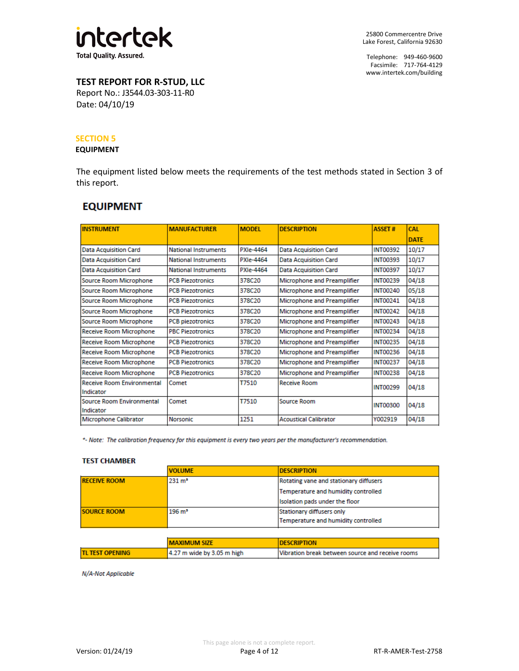

# **TEST REPORT FOR R-STUD, LLC**

Report No.: J3544.03-303-11-R0 Date: 04/10/19

#### **SECTION 5**

#### **EQUIPMENT**

The equipment listed below meets the requirements of the test methods stated in Section 3 of this report.

# **EQUIPMENT**

| <b>INSTRUMENT</b>                              | <b>MANUFACTURER</b>         | <b>MODEL</b> | <b>DESCRIPTION</b>           | <b>ASSET#</b>   | <b>CAL</b>  |
|------------------------------------------------|-----------------------------|--------------|------------------------------|-----------------|-------------|
|                                                |                             |              |                              |                 | <b>DATE</b> |
| <b>Data Acquisition Card</b>                   | <b>National Instruments</b> | PXIe-4464    | <b>Data Acquisition Card</b> | <b>INT00392</b> | 10/17       |
| <b>Data Acquisition Card</b>                   | <b>National Instruments</b> | PXIe-4464    | <b>Data Acquisition Card</b> | <b>INT00393</b> | 10/17       |
| <b>Data Acquisition Card</b>                   | <b>National Instruments</b> | PXIe-4464    | <b>Data Acquisition Card</b> | <b>INT00397</b> | 10/17       |
| Source Room Microphone                         | <b>PCB Piezotronics</b>     | 378C20       | Microphone and Preamplifier  | <b>INT00239</b> | 04/18       |
| Source Room Microphone                         | <b>PCB Piezotronics</b>     | 378C20       | Microphone and Preamplifier  | <b>INT00240</b> | 05/18       |
| Source Room Microphone                         | <b>PCB Piezotronics</b>     | 378C20       | Microphone and Preamplifier  | <b>INT00241</b> | 04/18       |
| Source Room Microphone                         | <b>PCB Piezotronics</b>     | 378C20       | Microphone and Preamplifier  | <b>INT00242</b> | 04/18       |
| Source Room Microphone                         | <b>PCB</b> piezotronics     | 378C20       | Microphone and Preamplifier  | <b>INT00243</b> | 04/18       |
| Receive Room Microphone                        | <b>PBC Piezotronics</b>     | 378C20       | Microphone and Preamplifier  | <b>INT00234</b> | 04/18       |
| Receive Room Microphone                        | <b>PCB Piezotronics</b>     | 378C20       | Microphone and Preamplifier  | <b>INT00235</b> | 04/18       |
| Receive Room Microphone                        | <b>PCB Piezotronics</b>     | 378C20       | Microphone and Preamplifier  | <b>INT00236</b> | 04/18       |
| Receive Room Microphone                        | <b>PCB Piezotronics</b>     | 378C20       | Microphone and Preamplifier  | <b>INT00237</b> | 04/18       |
| Receive Room Microphone                        | <b>PCB Piezotronics</b>     | 378C20       | Microphone and Preamplifier  | <b>INT00238</b> | 04/18       |
| <b>Receive Room Environmental</b><br>Indicator | Comet                       | T7510        | <b>Receive Room</b>          | <b>INT00299</b> | 04/18       |
| <b>Source Room Environmental</b><br>Indicator  | Comet                       | T7510        | Source Room                  | <b>INT00300</b> | 04/18       |
| <b>Microphone Calibrator</b>                   | <b>Norsonic</b>             | 1251         | <b>Acoustical Calibrator</b> | Y002919         | 04/18       |

\*- Note: The calibration frequency for this equipment is every two years per the manufacturer's recommendation.

#### **TEST CHAMBER**

|                     | <b>VOLUME</b>     | <b>IDESCRIPTION</b>                    |
|---------------------|-------------------|----------------------------------------|
| <b>RECEIVE ROOM</b> | $231 \text{ m}^3$ | Rotating vane and stationary diffusers |
|                     |                   | Temperature and humidity controlled    |
|                     |                   | Isolation pads under the floor         |
| <b>SOURCE ROOM</b>  | $196 \text{ m}^3$ | Stationary diffusers only              |
|                     |                   | Temperature and humidity controlled    |

|                         | <b>MAXIMUM SIZE</b>          | <b>IDESCRIPTION</b>                              |
|-------------------------|------------------------------|--------------------------------------------------|
| <b>ITL TEST OPENING</b> | $4.27$ m wide by 3.05 m high | Wibration break between source and receive rooms |

N/A-Not Applicable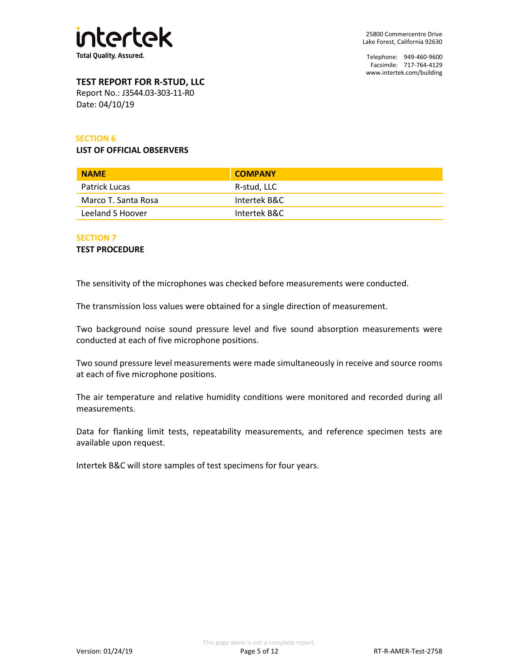

# **TEST REPORT FOR R-STUD, LLC**

Report No.: J3544.03-303-11-R0 Date: 04/10/19

### **SECTION 6**

#### **LIST OF OFFICIAL OBSERVERS**

| <b>NAME</b>         | <b>COMPANY</b> |
|---------------------|----------------|
| Patrick Lucas       | R-stud, LLC    |
| Marco T. Santa Rosa | Intertek B&C   |
| Leeland S Hoover    | Intertek B&C   |

#### **SECTION 7**

**TEST PROCEDURE**

The sensitivity of the microphones was checked before measurements were conducted.

The transmission loss values were obtained for a single direction of measurement.

Two background noise sound pressure level and five sound absorption measurements were conducted at each of five microphone positions.

Two sound pressure level measurements were made simultaneously in receive and source rooms at each of five microphone positions.

The air temperature and relative humidity conditions were monitored and recorded during all measurements.

Data for flanking limit tests, repeatability measurements, and reference specimen tests are available upon request.

Intertek B&C will store samples of test specimens for four years.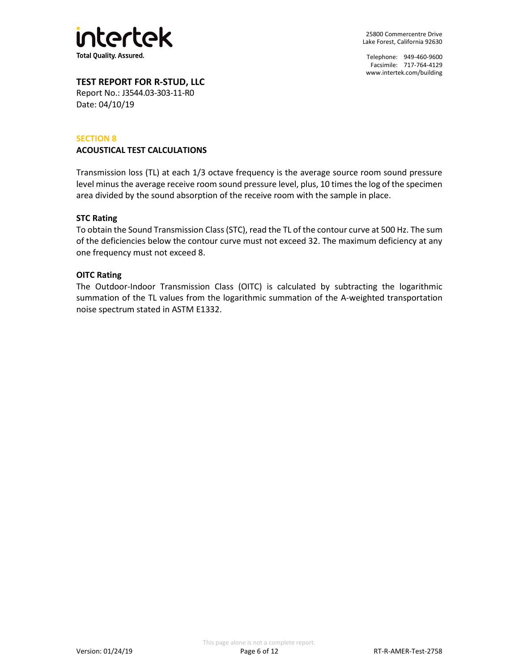

Telephone: 949-460-9600 Facsimile: 717-764-4129 [www.intertek.com/building](http://www.intertek.com/building)

**TEST REPORT FOR R-STUD, LLC**

Report No.: J3544.03-303-11-R0 Date: 04/10/19

#### **SECTION 8**

#### **ACOUSTICAL TEST CALCULATIONS**

Transmission loss (TL) at each 1/3 octave frequency is the average source room sound pressure level minus the average receive room sound pressure level, plus, 10 times the log of the specimen area divided by the sound absorption of the receive room with the sample in place.

#### **STC Rating**

To obtain the Sound Transmission Class (STC), read the TL of the contour curve at 500 Hz. The sum of the deficiencies below the contour curve must not exceed 32. The maximum deficiency at any one frequency must not exceed 8.

#### **OITC Rating**

The Outdoor-Indoor Transmission Class (OITC) is calculated by subtracting the logarithmic summation of the TL values from the logarithmic summation of the A-weighted transportation noise spectrum stated in ASTM E1332.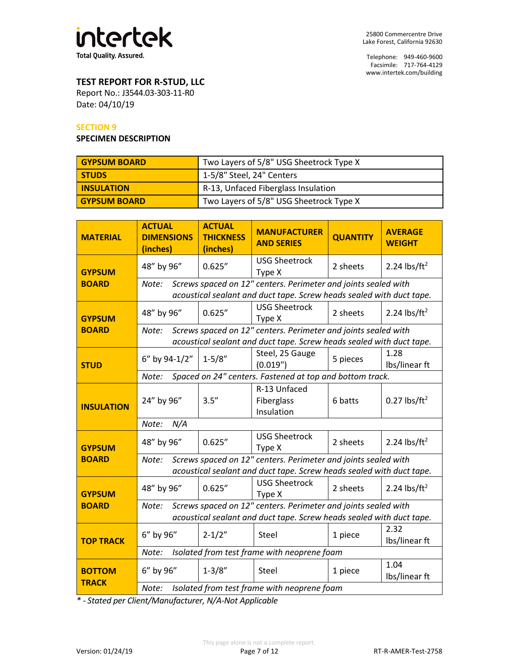

Telephone: 949-460-9600 Facsimile: 717-764-4129 [www.intertek.com/building](http://www.intertek.com/building)

## **TEST REPORT FOR R-STUD, LLC**

Report No.: J3544.03-303-11-R0 Date: 04/10/19

#### **SECTION 9**

#### **SPECIMEN DESCRIPTION**

| <b>GYPSUM BOARD</b> | Two Layers of 5/8" USG Sheetrock Type X |  |  |
|---------------------|-----------------------------------------|--|--|
| <b>STUDS</b>        | 1-5/8" Steel, 24" Centers               |  |  |
| <b>INSULATION</b>   | R-13, Unfaced Fiberglass Insulation     |  |  |
| <b>GYPSUM BOARD</b> | Two Layers of 5/8" USG Sheetrock Type X |  |  |

| <b>MATERIAL</b>               | <b>ACTUAL</b><br><b>DIMENSIONS</b><br>(inches)                                                                                                  | <b>ACTUAL</b><br><b>THICKNESS</b><br>(inches)                                                                                          | <b>MANUFACTURER</b><br><b>AND SERIES</b>                                                                                               | <b>QUANTITY</b> | <b>AVERAGE</b><br><b>WEIGHT</b> |  |  |  |
|-------------------------------|-------------------------------------------------------------------------------------------------------------------------------------------------|----------------------------------------------------------------------------------------------------------------------------------------|----------------------------------------------------------------------------------------------------------------------------------------|-----------------|---------------------------------|--|--|--|
| <b>GYPSUM</b>                 | 48" by 96"                                                                                                                                      | 0.625''                                                                                                                                | <b>USG Sheetrock</b><br>Type X                                                                                                         | 2 sheets        | 2.24 lbs/ft <sup>2</sup>        |  |  |  |
| <b>BOARD</b>                  | Note:                                                                                                                                           | Screws spaced on 12" centers. Perimeter and joints sealed with<br>acoustical sealant and duct tape. Screw heads sealed with duct tape. |                                                                                                                                        |                 |                                 |  |  |  |
| <b>GYPSUM</b>                 | 48" by 96"                                                                                                                                      | 0.625''                                                                                                                                | <b>USG Sheetrock</b><br>Type X                                                                                                         | 2 sheets        | 2.24 lbs/ft <sup>2</sup>        |  |  |  |
| <b>BOARD</b>                  | Note:                                                                                                                                           |                                                                                                                                        | Screws spaced on 12" centers. Perimeter and joints sealed with<br>acoustical sealant and duct tape. Screw heads sealed with duct tape. |                 |                                 |  |  |  |
| <b>STUD</b>                   | 6" by 94-1/2"                                                                                                                                   | $1 - 5/8"$                                                                                                                             | Steel, 25 Gauge<br>(0.019")                                                                                                            | 5 pieces        | 1.28<br>Ibs/linear ft           |  |  |  |
|                               | Note:                                                                                                                                           |                                                                                                                                        | Spaced on 24" centers. Fastened at top and bottom track.                                                                               |                 |                                 |  |  |  |
| <b>INSULATION</b>             | 24" by 96"                                                                                                                                      | 3.5''                                                                                                                                  | R-13 Unfaced<br>Fiberglass<br>Insulation                                                                                               | 6 batts         | $0.27$ lbs/ft <sup>2</sup>      |  |  |  |
|                               | N/A<br>Note:                                                                                                                                    |                                                                                                                                        |                                                                                                                                        |                 |                                 |  |  |  |
| <b>GYPSUM</b>                 | 48" by 96"                                                                                                                                      | 0.625''                                                                                                                                | <b>USG Sheetrock</b><br>Type X                                                                                                         | 2 sheets        | 2.24 lbs/ft <sup>2</sup>        |  |  |  |
| <b>BOARD</b>                  | Screws spaced on 12" centers. Perimeter and joints sealed with<br>Note:                                                                         |                                                                                                                                        |                                                                                                                                        |                 |                                 |  |  |  |
|                               |                                                                                                                                                 |                                                                                                                                        | acoustical sealant and duct tape. Screw heads sealed with duct tape.                                                                   |                 |                                 |  |  |  |
| <b>GYPSUM</b>                 | 48" by 96"                                                                                                                                      | 0.625''                                                                                                                                | <b>USG Sheetrock</b><br>Type X                                                                                                         | 2 sheets        | 2.24 $\frac{1}{2}$              |  |  |  |
| <b>BOARD</b>                  | Screws spaced on 12" centers. Perimeter and joints sealed with<br>Note:<br>acoustical sealant and duct tape. Screw heads sealed with duct tape. |                                                                                                                                        |                                                                                                                                        |                 |                                 |  |  |  |
| <b>TOP TRACK</b>              | 6" by 96"                                                                                                                                       | $2 - 1/2"$                                                                                                                             | Steel                                                                                                                                  | 1 piece         | 2.32<br>Ibs/linear ft           |  |  |  |
|                               | Note:                                                                                                                                           |                                                                                                                                        | Isolated from test frame with neoprene foam                                                                                            |                 |                                 |  |  |  |
| <b>BOTTOM</b><br><b>TRACK</b> | 6" by 96"                                                                                                                                       | $1 - 3/8"$                                                                                                                             | Steel                                                                                                                                  | 1 piece         | 1.04<br>Ibs/linear ft           |  |  |  |
|                               | Isolated from test frame with neoprene foam<br>Note:                                                                                            |                                                                                                                                        |                                                                                                                                        |                 |                                 |  |  |  |

*\* - Stated per Client/Manufacturer, N/A-Not Applicable*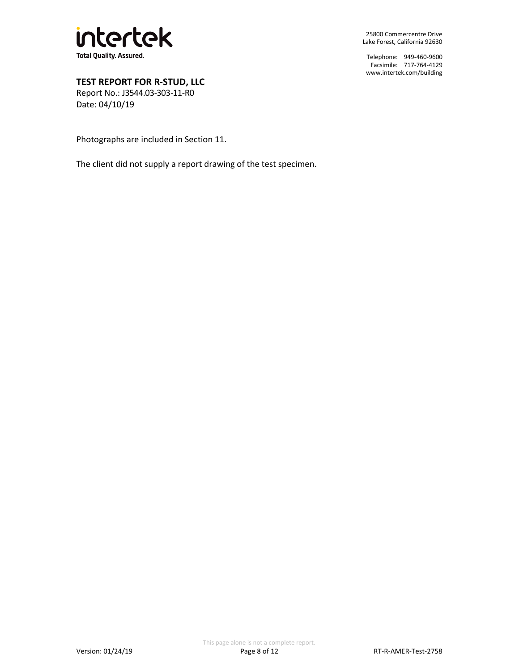

Telephone: 949-460-9600 Facsimile: 717-764-4129 [www.intertek.com/building](http://www.intertek.com/building)

**TEST REPORT FOR R-STUD, LLC**

Report No.: J3544.03-303-11-R0 Date: 04/10/19

Photographs are included in Section 11.

The client did not supply a report drawing of the test specimen.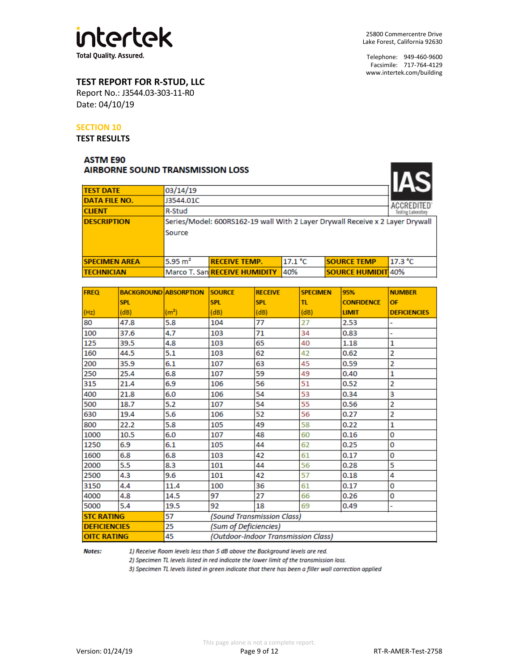

 $\overline{I}$ 

## **TEST REPORT FOR R-STUD, LLC**

Report No.: J3544.03-303-11-R0 Date: 04/10/19

#### **SECTION 10**

**TEST RESULTS**

## **ASTM E90 AIRBORNE SOUND TRANSMISSION LOSS**

| <b>TEST DATE</b>     | 03/14/19       |                                                                               |         |                           | IAS     |
|----------------------|----------------|-------------------------------------------------------------------------------|---------|---------------------------|---------|
| DATA FILE NO.        | J3544.01C      |                                                                               |         |                           |         |
| <b>CLIENT</b>        | R-Stud         |                                                                               |         |                           |         |
| <b>DESCRIPTION</b>   |                | Series/Model: 600RS162-19 wall With 2 Layer Drywall Receive x 2 Layer Drywall |         |                           |         |
|                      | Source         |                                                                               |         |                           |         |
|                      |                |                                                                               |         |                           |         |
|                      |                |                                                                               |         |                           |         |
| <b>SPECIMEN AREA</b> | 5.95 $\rm m^2$ | <b>RECEIVE TEMP.</b>                                                          | 17.1 °C | <b>SOURCE TEMP</b>        | 17.3 °C |
| <b>TECHNICIAN</b>    |                | Marco T. San RECEIVE HUMIDITY                                                 | 40%     | <b>SOURCE HUMIDIT 40%</b> |         |

| <b>FREQ</b>         | <b>BACKGROUND ABSORPTION</b> |                   | <b>SOURCE</b>              | <b>RECEIVE</b>                      | <b>SPECIMEN</b> | 95%               | <b>NUMBER</b>       |
|---------------------|------------------------------|-------------------|----------------------------|-------------------------------------|-----------------|-------------------|---------------------|
|                     | <b>SPL</b>                   |                   | <b>SPL</b>                 | <b>SPL</b>                          | π               | <b>CONFIDENCE</b> | OF                  |
| (Hz)                | (dB)                         | (m <sup>2</sup> ) | (dB)                       | (dB)                                | (dB)            | <b>LIMIT</b>      | <b>DEFICIENCIES</b> |
| 80                  | 47.8                         | 5.8               | 104                        | 77                                  | 27              | 2.53              |                     |
| 100                 | 37.6                         | 4.7               | 103                        | 71                                  | 34              | 0.83              |                     |
| 125                 | 39.5                         | 4.8               | 103                        | 65                                  | 40              | 1.18              | 1                   |
| 160                 | 44.5                         | 5.1               | 103                        | 62                                  | 42              | 0.62              | 2                   |
| 200                 | 35.9                         | 6.1               | 107                        | 63                                  | 45              | 0.59              | 2                   |
| 250                 | 25.4                         | 6.8               | 107                        | 59                                  | 49              | 0.40              | 1                   |
| 315                 | 21.4                         | 6.9               | 106                        | 56                                  | 51              | 0.52              | 2                   |
| 400                 | 21.8                         | 6.0               | 106                        | 54                                  | 53              | 0.34              | 3                   |
| 500                 | 18.7                         | 5.2               | 107                        | 54                                  | 55              | 0.56              | 2                   |
| 630                 | 19.4                         | 5.6               | 106                        | 52                                  | 56              | 0.27              | 2                   |
| 800                 | 22.2                         | 5.8               | 105                        | 49                                  | 58              | 0.22              | 1                   |
| 1000                | 10.5                         | 6.0               | 107                        | 48                                  | 60              | 0.16              | 0                   |
| 1250                | 6.9                          | 6.1               | 105                        | 44                                  | 62              | 0.25              | 0                   |
| 1600                | 6.8                          | 6.8               | 103                        | 42                                  | 61              | 0.17              | 0                   |
| 2000                | 5.5                          | 8.3               | 101                        | 44                                  | 56              | 0.28              | 5                   |
| 2500                | 4.3                          | 9.6               | 101                        | 42                                  | 57              | 0.18              | 4                   |
| 3150                | 4.4                          | 11.4              | 100                        | 36                                  | 61              | 0.17              | 0                   |
| 4000                | 4.8                          | 14.5              | 97                         | 27                                  | 66              | 0.26              | 0                   |
| 5000                | 5.4                          | 19.5              | 92                         | 18                                  | 69              | 0.49              | -                   |
| <b>STC RATING</b>   |                              | 57                | (Sound Transmission Class) |                                     |                 |                   |                     |
| <b>DEFICIENCIES</b> |                              | 25                | (Sum of Deficiencies)      |                                     |                 |                   |                     |
| <b>OITC RATING</b>  |                              | 45                |                            | (Outdoor-Indoor Transmission Class) |                 |                   |                     |

Notes:

1) Receive Room levels less than 5 dB above the Background levels are red.

2) Specimen TL levels listed in red indicate the lower limit of the transmission loss.

3) Specimen TL levels listed in green indicate that there has been a filler wall correction applied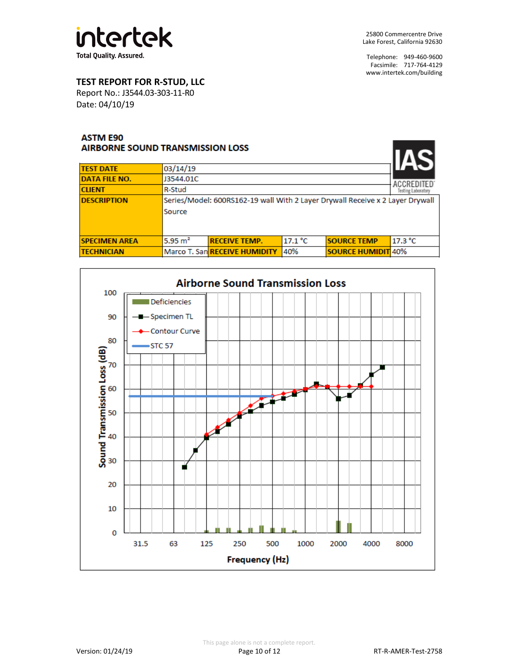

## **TEST REPORT FOR R-STUD, LLC**

Report No.: J3544.03-303-11-R0 Date: 04/10/19

## **ASTM E90** AIRBORNE SOUND TRANSMISSION LOSS

| ANNDONN'IL JOUTHU TINANJUNIIJUNUT LOJJ |           |                                                                               |         |                           |                                         |  |
|----------------------------------------|-----------|-------------------------------------------------------------------------------|---------|---------------------------|-----------------------------------------|--|
| <b>TEST DATE</b>                       | 03/14/19  |                                                                               |         |                           |                                         |  |
| DATA FILE NO.                          | J3544.01C |                                                                               |         |                           |                                         |  |
| CLIENT                                 | R-Stud    |                                                                               |         |                           | <b>ACCREDITED</b><br>Testing Laboratory |  |
| <b>DESCRIPTION</b>                     |           | Series/Model: 600RS162-19 wall With 2 Layer Drywall Receive x 2 Layer Drywall |         |                           |                                         |  |
|                                        | Source    |                                                                               |         |                           |                                         |  |
|                                        |           |                                                                               |         |                           |                                         |  |
|                                        |           |                                                                               |         |                           |                                         |  |
| <b>SPECIMEN AREA</b>                   | 5.95 $m2$ | <b>RECEIVE TEMP.</b>                                                          | 17.1 °C | <b>SOURCE TEMP</b>        | 17.3 °C                                 |  |
| TECHNICIAN                             |           | Marco T. San RECEIVE HUMIDITY                                                 | 40%     | <b>SOURCE HUMIDIT 40%</b> |                                         |  |
|                                        |           |                                                                               |         |                           |                                         |  |

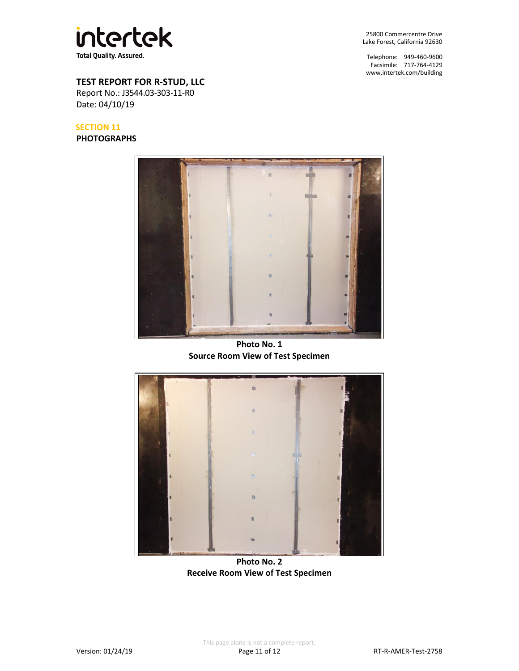

Telephone: 949-460-9600 Facsimile: 717-764-4129 [www.intertek.com/building](http://www.intertek.com/building)

## **TEST REPORT FOR R-STUD, LLC**

Report No.: J3544.03-303-11-R0 Date: 04/10/19

#### **SECTION 11**

**PHOTOGRAPHS**



**Photo No. 1 Source Room View of Test Specimen**



**Photo No. 2 Receive Room View of Test Specimen**